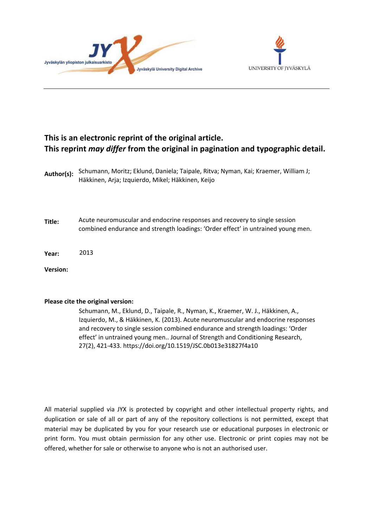



# **This is an electronic reprint of the original article. This reprint** *may differ* **from the original in pagination and typographic detail.**

| Author(s):      | Schumann, Moritz; Eklund, Daniela; Taipale, Ritva; Nyman, Kai; Kraemer, William J;<br>Häkkinen, Arja; Izquierdo, Mikel; Häkkinen, Keijo                        |
|-----------------|----------------------------------------------------------------------------------------------------------------------------------------------------------------|
| Title:          | Acute neuromuscular and endocrine responses and recovery to single session<br>combined endurance and strength loadings: 'Order effect' in untrained young men. |
| Year:           | 2013                                                                                                                                                           |
| <b>Version:</b> |                                                                                                                                                                |

# **Please cite the original version:**

Schumann, M., Eklund, D., Taipale, R., Nyman, K., Kraemer, W. J., Häkkinen, A., Izquierdo, M., & Häkkinen, K. (2013). Acute neuromuscular and endocrine responses and recovery to single session combined endurance and strength loadings: 'Order effect' in untrained young men.. Journal of Strength and Conditioning Research, 27(2), 421-433. https://doi.org/10.1519/JSC.0b013e31827f4a10

All material supplied via JYX is protected by copyright and other intellectual property rights, and duplication or sale of all or part of any of the repository collections is not permitted, except that material may be duplicated by you for your research use or educational purposes in electronic or print form. You must obtain permission for any other use. Electronic or print copies may not be offered, whether for sale or otherwise to anyone who is not an authorised user.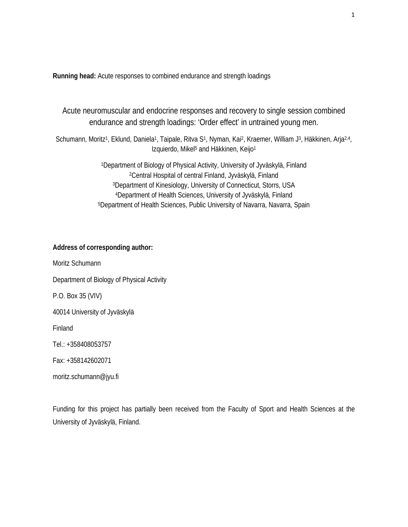**Running head:** Acute responses to combined endurance and strength loadings

Acute neuromuscular and endocrine responses and recovery to single session combined endurance and strength loadings: 'Order effect' in untrained young men.

Schumann, Moritz<sup>1</sup>, Eklund, Daniela<sup>1</sup>, Taipale, Ritva S<sup>1</sup>, Nyman, Kai<sup>2</sup>, Kraemer, William J<sup>3</sup>, Häkkinen, Arja<sup>2,4</sup>, Izquierdo, Mikel<sup>5</sup> and Häkkinen, Keijo<sup>1</sup>

> 1Department of Biology of Physical Activity, University of Jyväskylä, Finland 2Central Hospital of central Finland, Jyväskylä, Finland 3Department of Kinesiology, University of Connecticut, Storrs, USA 4Department of Health Sciences, University of Jyväskylä, Finland 5Department of Health Sciences, Public University of Navarra, Navarra, Spain

# **Address of corresponding author:**

Moritz Schumann Department of Biology of Physical Activity P.O. Box 35 (VIV) 40014 University of Jyväskylä Finland Tel.: +358408053757 Fax: +358142602071

moritz.schumann@jyu.fi

Funding for this project has partially been received from the Faculty of Sport and Health Sciences at the University of Jyväskylä, Finland.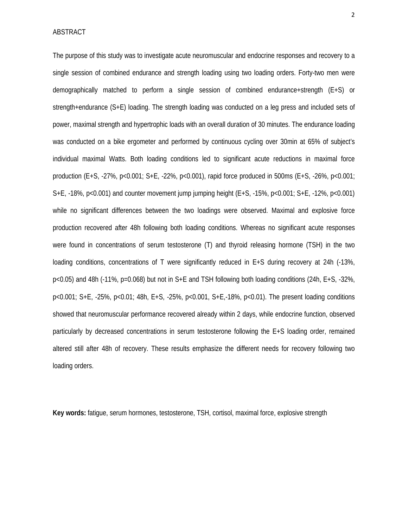ABSTRACT

The purpose of this study was to investigate acute neuromuscular and endocrine responses and recovery to a single session of combined endurance and strength loading using two loading orders. Forty-two men were demographically matched to perform a single session of combined endurance+strength (E+S) or strength+endurance (S+E) loading. The strength loading was conducted on a leg press and included sets of power, maximal strength and hypertrophic loads with an overall duration of 30 minutes. The endurance loading was conducted on a bike ergometer and performed by continuous cycling over 30min at 65% of subject's individual maximal Watts. Both loading conditions led to significant acute reductions in maximal force production (E+S, -27%, p<0.001; S+E, -22%, p<0.001), rapid force produced in 500ms (E+S, -26%, p<0.001; S+E, -18%, p<0.001) and counter movement jump jumping height (E+S, -15%, p<0.001; S+E, -12%, p<0.001) while no significant differences between the two loadings were observed. Maximal and explosive force production recovered after 48h following both loading conditions. Whereas no significant acute responses were found in concentrations of serum testosterone (T) and thyroid releasing hormone (TSH) in the two loading conditions, concentrations of T were significantly reduced in E+S during recovery at 24h (-13%, p<0.05) and 48h (-11%, p=0.068) but not in S+E and TSH following both loading conditions (24h, E+S, -32%, p<0.001; S+E, -25%, p<0.01; 48h, E+S, -25%, p<0.001, S+E,-18%, p<0.01). The present loading conditions showed that neuromuscular performance recovered already within 2 days, while endocrine function, observed particularly by decreased concentrations in serum testosterone following the E+S loading order, remained altered still after 48h of recovery. These results emphasize the different needs for recovery following two loading orders.

**Key words:** fatigue, serum hormones, testosterone, TSH, cortisol, maximal force, explosive strength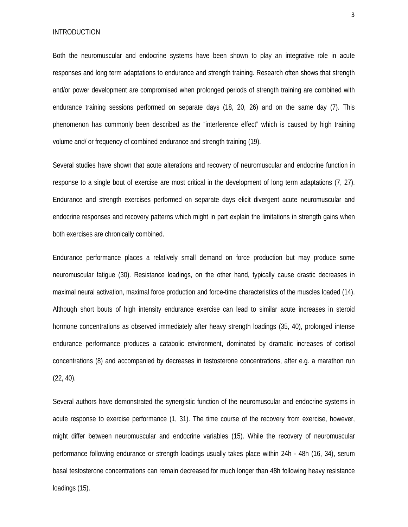INTRODUCTION

Both the neuromuscular and endocrine systems have been shown to play an integrative role in acute responses and long term adaptations to endurance and strength training. Research often shows that strength and/or power development are compromised when prolonged periods of strength training are combined with endurance training sessions performed on separate days (18, 20, 26) and on the same day (7). This phenomenon has commonly been described as the "interference effect" which is caused by high training volume and/ or frequency of combined endurance and strength training (19).

Several studies have shown that acute alterations and recovery of neuromuscular and endocrine function in response to a single bout of exercise are most critical in the development of long term adaptations (7, 27). Endurance and strength exercises performed on separate days elicit divergent acute neuromuscular and endocrine responses and recovery patterns which might in part explain the limitations in strength gains when both exercises are chronically combined.

Endurance performance places a relatively small demand on force production but may produce some neuromuscular fatigue (30). Resistance loadings, on the other hand, typically cause drastic decreases in maximal neural activation, maximal force production and force-time characteristics of the muscles loaded (14). Although short bouts of high intensity endurance exercise can lead to similar acute increases in steroid hormone concentrations as observed immediately after heavy strength loadings (35, 40), prolonged intense endurance performance produces a catabolic environment, dominated by dramatic increases of cortisol concentrations (8) and accompanied by decreases in testosterone concentrations, after e.g. a marathon run (22, 40).

Several authors have demonstrated the synergistic function of the neuromuscular and endocrine systems in acute response to exercise performance (1, 31). The time course of the recovery from exercise, however, might differ between neuromuscular and endocrine variables (15). While the recovery of neuromuscular performance following endurance or strength loadings usually takes place within 24h - 48h (16, 34), serum basal testosterone concentrations can remain decreased for much longer than 48h following heavy resistance loadings (15).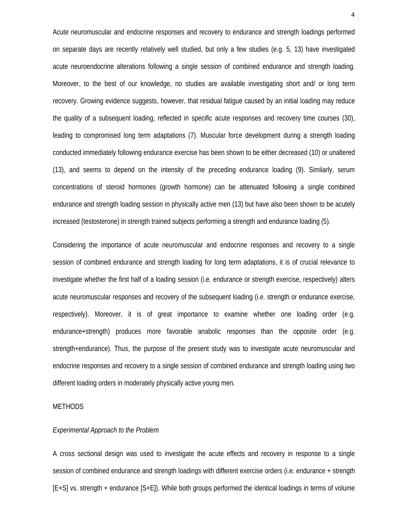Acute neuromuscular and endocrine responses and recovery to endurance and strength loadings performed on separate days are recently relatively well studied, but only a few studies (e.g. 5, 13) have investigated acute neuroendocrine alterations following a single session of combined endurance and strength loading. Moreover, to the best of our knowledge, no studies are available investigating short and/ or long term recovery. Growing evidence suggests, however, that residual fatigue caused by an initial loading may reduce the quality of a subsequent loading, reflected in specific acute responses and recovery time courses (30), leading to compromised long term adaptations (7). Muscular force development during a strength loading conducted immediately following endurance exercise has been shown to be either decreased (10) or unaltered (13), and seems to depend on the intensity of the preceding endurance loading (9). Similarly, serum concentrations of steroid hormones (growth hormone) can be attenuated following a single combined endurance and strength loading session in physically active men (13) but have also been shown to be acutely increased (testosterone) in strength trained subjects performing a strength and endurance loading (5).

Considering the importance of acute neuromuscular and endocrine responses and recovery to a single session of combined endurance and strength loading for long term adaptations, it is of crucial relevance to investigate whether the first half of a loading session (i.e. endurance or strength exercise, respectively) alters acute neuromuscular responses and recovery of the subsequent loading (i.e. strength or endurance exercise, respectively). Moreover, it is of great importance to examine whether one loading order (e.g. endurance+strength) produces more favorable anabolic responses than the opposite order (e.g. strength+endurance). Thus, the purpose of the present study was to investigate acute neuromuscular and endocrine responses and recovery to a single session of combined endurance and strength loading using two different loading orders in moderately physically active young men.

#### METHODS

#### *Experimental Approach to the Problem*

A cross sectional design was used to investigate the acute effects and recovery in response to a single session of combined endurance and strength loadings with different exercise orders (i.e. endurance + strength [E+S] vs. strength + endurance [S+E]). While both groups performed the identical loadings in terms of volume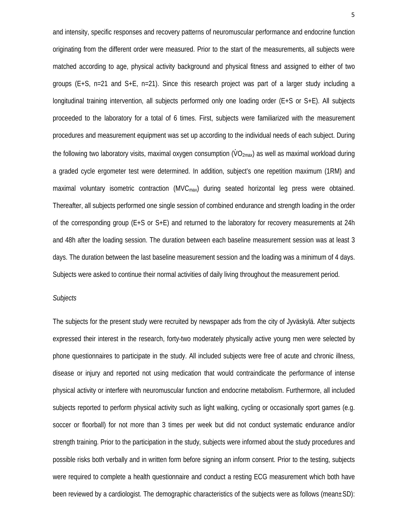and intensity, specific responses and recovery patterns of neuromuscular performance and endocrine function originating from the different order were measured. Prior to the start of the measurements, all subjects were matched according to age, physical activity background and physical fitness and assigned to either of two groups (E+S, n=21 and S+E, n=21). Since this research project was part of a larger study including a longitudinal training intervention, all subjects performed only one loading order (E+S or S+E). All subjects proceeded to the laboratory for a total of 6 times. First, subjects were familiarized with the measurement procedures and measurement equipment was set up according to the individual needs of each subject. During the following two laboratory visits, maximal oxygen consumption (VO<sub>2max</sub>) as well as maximal workload during a graded cycle ergometer test were determined. In addition, subject's one repetition maximum (1RM) and maximal voluntary isometric contraction ( $MVC<sub>max</sub>$ ) during seated horizontal leg press were obtained. Thereafter, all subjects performed one single session of combined endurance and strength loading in the order of the corresponding group (E+S or S+E) and returned to the laboratory for recovery measurements at 24h and 48h after the loading session. The duration between each baseline measurement session was at least 3 days. The duration between the last baseline measurement session and the loading was a minimum of 4 days. Subjects were asked to continue their normal activities of daily living throughout the measurement period.

## *Subjects*

The subjects for the present study were recruited by newspaper ads from the city of Jyväskylä. After subjects expressed their interest in the research, forty-two moderately physically active young men were selected by phone questionnaires to participate in the study. All included subjects were free of acute and chronic illness, disease or injury and reported not using medication that would contraindicate the performance of intense physical activity or interfere with neuromuscular function and endocrine metabolism. Furthermore, all included subjects reported to perform physical activity such as light walking, cycling or occasionally sport games (e.g. soccer or floorball) for not more than 3 times per week but did not conduct systematic endurance and/or strength training. Prior to the participation in the study, subjects were informed about the study procedures and possible risks both verbally and in written form before signing an inform consent. Prior to the testing, subjects were required to complete a health questionnaire and conduct a resting ECG measurement which both have been reviewed by a cardiologist. The demographic characteristics of the subjects were as follows (mean±SD):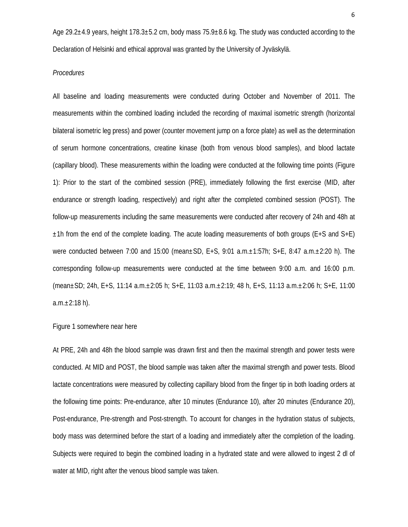Age 29.2±4.9 years, height 178.3±5.2 cm, body mass 75.9±8.6 kg. The study was conducted according to the Declaration of Helsinki and ethical approval was granted by the University of Jyväskylä.

## *Procedures*

All baseline and loading measurements were conducted during October and November of 2011. The measurements within the combined loading included the recording of maximal isometric strength (horizontal bilateral isometric leg press) and power (counter movement jump on a force plate) as well as the determination of serum hormone concentrations, creatine kinase (both from venous blood samples), and blood lactate (capillary blood). These measurements within the loading were conducted at the following time points (Figure 1): Prior to the start of the combined session (PRE), immediately following the first exercise (MID, after endurance or strength loading, respectively) and right after the completed combined session (POST). The follow-up measurements including the same measurements were conducted after recovery of 24h and 48h at  $\pm$ 1h from the end of the complete loading. The acute loading measurements of both groups (E+S and S+E) were conducted between 7:00 and 15:00 (mean±SD, E+S, 9:01 a.m.±1:57h; S+E, 8:47 a.m.±2:20 h). The corresponding follow-up measurements were conducted at the time between 9:00 a.m. and 16:00 p.m. (mean±SD; 24h, E+S, 11:14 a.m.±2:05 h; S+E, 11:03 a.m.±2:19; 48 h, E+S, 11:13 a.m.±2:06 h; S+E, 11:00  $a.m.±2:18 h$ ).

## Figure 1 somewhere near here

At PRE, 24h and 48h the blood sample was drawn first and then the maximal strength and power tests were conducted. At MID and POST, the blood sample was taken after the maximal strength and power tests. Blood lactate concentrations were measured by collecting capillary blood from the finger tip in both loading orders at the following time points: Pre-endurance, after 10 minutes (Endurance 10), after 20 minutes (Endurance 20), Post-endurance, Pre-strength and Post-strength. To account for changes in the hydration status of subjects, body mass was determined before the start of a loading and immediately after the completion of the loading. Subjects were required to begin the combined loading in a hydrated state and were allowed to ingest 2 dl of water at MID, right after the venous blood sample was taken.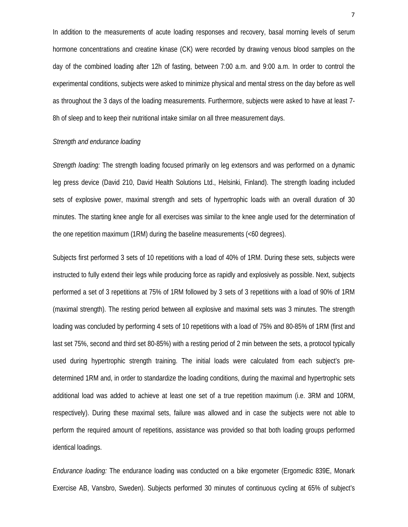In addition to the measurements of acute loading responses and recovery, basal morning levels of serum hormone concentrations and creatine kinase (CK) were recorded by drawing venous blood samples on the day of the combined loading after 12h of fasting, between 7:00 a.m. and 9:00 a.m. In order to control the experimental conditions, subjects were asked to minimize physical and mental stress on the day before as well as throughout the 3 days of the loading measurements. Furthermore, subjects were asked to have at least 7- 8h of sleep and to keep their nutritional intake similar on all three measurement days.

## *Strength and endurance loading*

*Strength loading:* The strength loading focused primarily on leg extensors and was performed on a dynamic leg press device (David 210, David Health Solutions Ltd., Helsinki, Finland). The strength loading included sets of explosive power, maximal strength and sets of hypertrophic loads with an overall duration of 30 minutes. The starting knee angle for all exercises was similar to the knee angle used for the determination of the one repetition maximum (1RM) during the baseline measurements (<60 degrees).

Subjects first performed 3 sets of 10 repetitions with a load of 40% of 1RM. During these sets, subjects were instructed to fully extend their legs while producing force as rapidly and explosively as possible. Next, subjects performed a set of 3 repetitions at 75% of 1RM followed by 3 sets of 3 repetitions with a load of 90% of 1RM (maximal strength). The resting period between all explosive and maximal sets was 3 minutes. The strength loading was concluded by performing 4 sets of 10 repetitions with a load of 75% and 80-85% of 1RM (first and last set 75%, second and third set 80-85%) with a resting period of 2 min between the sets, a protocol typically used during hypertrophic strength training. The initial loads were calculated from each subject's predetermined 1RM and, in order to standardize the loading conditions, during the maximal and hypertrophic sets additional load was added to achieve at least one set of a true repetition maximum (i.e. 3RM and 10RM, respectively). During these maximal sets, failure was allowed and in case the subjects were not able to perform the required amount of repetitions, assistance was provided so that both loading groups performed identical loadings.

*Endurance loading:* The endurance loading was conducted on a bike ergometer (Ergomedic 839E, Monark Exercise AB, Vansbro, Sweden). Subjects performed 30 minutes of continuous cycling at 65% of subject's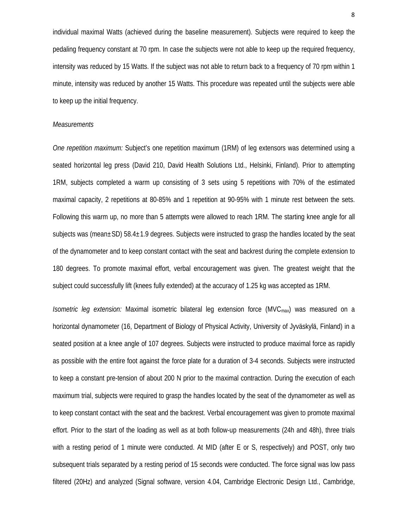individual maximal Watts (achieved during the baseline measurement). Subjects were required to keep the pedaling frequency constant at 70 rpm. In case the subjects were not able to keep up the required frequency, intensity was reduced by 15 Watts. If the subject was not able to return back to a frequency of 70 rpm within 1 minute, intensity was reduced by another 15 Watts. This procedure was repeated until the subjects were able to keep up the initial frequency.

#### *Measurements*

*One repetition maximum:* Subject's one repetition maximum (1RM) of leg extensors was determined using a seated horizontal leg press (David 210, David Health Solutions Ltd., Helsinki, Finland). Prior to attempting 1RM, subjects completed a warm up consisting of 3 sets using 5 repetitions with 70% of the estimated maximal capacity, 2 repetitions at 80-85% and 1 repetition at 90-95% with 1 minute rest between the sets. Following this warm up, no more than 5 attempts were allowed to reach 1RM. The starting knee angle for all subjects was (mean±SD) 58.4±1.9 degrees. Subjects were instructed to grasp the handles located by the seat of the dynamometer and to keep constant contact with the seat and backrest during the complete extension to 180 degrees. To promote maximal effort, verbal encouragement was given. The greatest weight that the subject could successfully lift (knees fully extended) at the accuracy of 1.25 kg was accepted as 1RM.

*Isometric leg extension:* Maximal isometric bilateral leg extension force (MVCmax) was measured on a horizontal dynamometer (16, Department of Biology of Physical Activity, University of Jyväskylä, Finland) in a seated position at a knee angle of 107 degrees. Subjects were instructed to produce maximal force as rapidly as possible with the entire foot against the force plate for a duration of 3-4 seconds. Subjects were instructed to keep a constant pre-tension of about 200 N prior to the maximal contraction. During the execution of each maximum trial, subjects were required to grasp the handles located by the seat of the dynamometer as well as to keep constant contact with the seat and the backrest. Verbal encouragement was given to promote maximal effort. Prior to the start of the loading as well as at both follow-up measurements (24h and 48h), three trials with a resting period of 1 minute were conducted. At MID (after E or S, respectively) and POST, only two subsequent trials separated by a resting period of 15 seconds were conducted. The force signal was low pass filtered (20Hz) and analyzed (Signal software, version 4.04, Cambridge Electronic Design Ltd., Cambridge,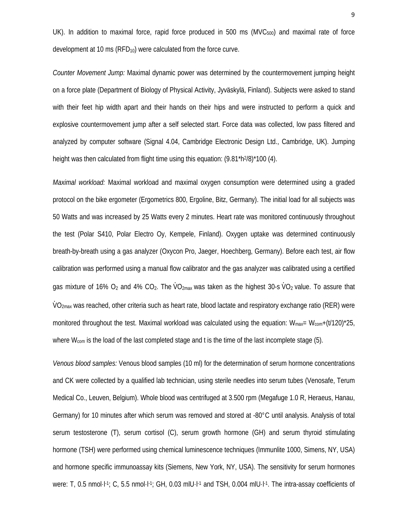UK). In addition to maximal force, rapid force produced in 500 ms ( $MVC<sub>500</sub>$ ) and maximal rate of force development at 10 ms  $(RFD_{10})$  were calculated from the force curve.

*Counter Movement Jump:* Maximal dynamic power was determined by the countermovement jumping height on a force plate (Department of Biology of Physical Activity, Jyväskylä, Finland). Subjects were asked to stand with their feet hip width apart and their hands on their hips and were instructed to perform a quick and explosive countermovement jump after a self selected start. Force data was collected, low pass filtered and analyzed by computer software (Signal 4.04, Cambridge Electronic Design Ltd., Cambridge, UK). Jumping height was then calculated from flight time using this equation:  $(9.81*h<sup>2</sup>/8)*100$  (4).

*Maximal workload:* Maximal workload and maximal oxygen consumption were determined using a graded protocol on the bike ergometer (Ergometrics 800, Ergoline, Bitz, Germany). The initial load for all subjects was 50 Watts and was increased by 25 Watts every 2 minutes. Heart rate was monitored continuously throughout the test (Polar S410, Polar Electro Oy, Kempele, Finland). Oxygen uptake was determined continuously breath-by-breath using a gas analyzer (Oxycon Pro, Jaeger, Hoechberg, Germany). Before each test, air flow calibration was performed using a manual flow calibrator and the gas analyzer was calibrated using a certified gas mixture of 16% O<sub>2</sub> and 4% CO<sub>2</sub>. The  $\dot{V}O_{2\text{max}}$  was taken as the highest 30-s  $\dot{V}O_2$  value. To assure that VO<sub>2max</sub> was reached, other criteria such as heart rate, blood lactate and respiratory exchange ratio (RER) were monitored throughout the test. Maximal workload was calculated using the equation:  $W_{\text{max}} = W_{\text{com}} + (t/120)^*25$ , where  $W_{com}$  is the load of the last completed stage and t is the time of the last incomplete stage (5).

*Venous blood samples:* Venous blood samples (10 ml) for the determination of serum hormone concentrations and CK were collected by a qualified lab technician, using sterile needles into serum tubes (Venosafe, Terum Medical Co., Leuven, Belgium). Whole blood was centrifuged at 3.500 rpm (Megafuge 1.0 R, Heraeus, Hanau, Germany) for 10 minutes after which serum was removed and stored at -80°C until analysis. Analysis of total serum testosterone (T), serum cortisol (C), serum growth hormone (GH) and serum thyroid stimulating hormone (TSH) were performed using chemical luminescence techniques (Immunlite 1000, Simens, NY, USA) and hormone specific immunoassay kits (Siemens, New York, NY, USA). The sensitivity for serum hormones were: T, 0.5 nmol·l<sup>-1</sup>; C, 5.5 nmol·l<sup>-1</sup>; GH, 0.03 mlU·l<sup>-1</sup> and TSH, 0.004 mlU·l<sup>-1</sup>. The intra-assay coefficients of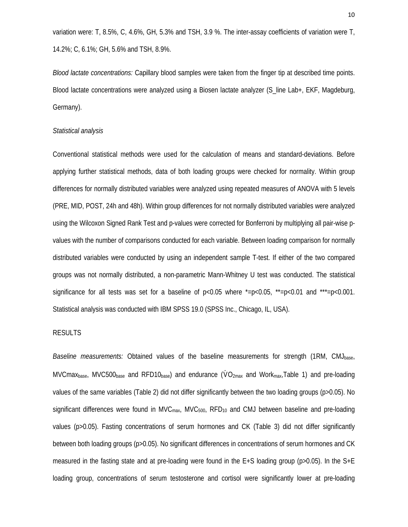variation were: T, 8.5%, C, 4.6%, GH, 5.3% and TSH, 3.9 %. The inter-assay coefficients of variation were T, 14.2%; C, 6.1%; GH, 5.6% and TSH, 8.9%.

*Blood lactate concentrations:* Capillary blood samples were taken from the finger tip at described time points. Blood lactate concentrations were analyzed using a Biosen lactate analyzer (S\_line Lab+, EKF, Magdeburg, Germany).

## *Statistical analysis*

Conventional statistical methods were used for the calculation of means and standard-deviations. Before applying further statistical methods, data of both loading groups were checked for normality. Within group differences for normally distributed variables were analyzed using repeated measures of ANOVA with 5 levels (PRE, MID, POST, 24h and 48h). Within group differences for not normally distributed variables were analyzed using the Wilcoxon Signed Rank Test and p-values were corrected for Bonferroni by multiplying all pair-wise pvalues with the number of comparisons conducted for each variable. Between loading comparison for normally distributed variables were conducted by using an independent sample T-test. If either of the two compared groups was not normally distributed, a non-parametric Mann-Whitney U test was conducted. The statistical significance for all tests was set for a baseline of  $p<0.05$  where  $\approx$  =p $<0.05$ ,  $\approx$  =p $<0.01$  and  $\approx$  =p $<0.001$ . Statistical analysis was conducted with IBM SPSS 19.0 (SPSS Inc., Chicago, IL, USA).

# RESULTS

*Baseline measurements:* Obtained values of the baseline measurements for strength (1RM, CMJbase, MVCmax<sub>base</sub>, MVC500<sub>base</sub> and RFD10<sub>base</sub>) and endurance ( $\dot{V}O_{2\text{max}}$  and Work<sub>max</sub>,Table 1) and pre-loading values of the same variables (Table 2) did not differ significantly between the two loading groups (p>0.05). No significant differences were found in MVC $_{\text{max}}$ , MVC $_{500}$ , RFD<sub>10</sub> and CMJ between baseline and pre-loading values (p>0.05). Fasting concentrations of serum hormones and CK (Table 3) did not differ significantly between both loading groups (p>0.05). No significant differences in concentrations of serum hormones and CK measured in the fasting state and at pre-loading were found in the E+S loading group (p>0.05). In the S+E loading group, concentrations of serum testosterone and cortisol were significantly lower at pre-loading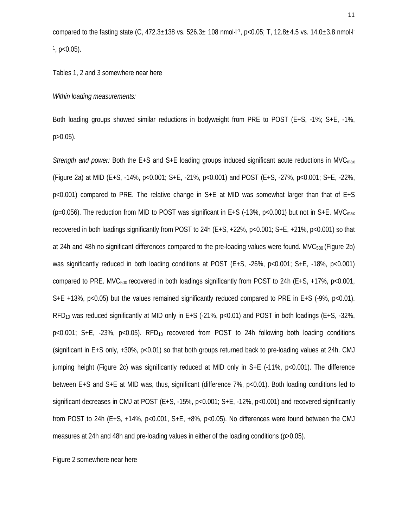compared to the fasting state (C, 472.3±138 vs. 526.3± 108 nmol·l<sup>-1</sup>, p<0.05; T, 12.8±4.5 vs. 14.0±3.8 nmol·l<sup>-</sup>  $^1$ , p<0.05).

Tables 1, 2 and 3 somewhere near here

#### *Within loading measurements:*

Both loading groups showed similar reductions in bodyweight from PRE to POST (E+S, -1%; S+E, -1%,  $p > 0.05$ ).

*Strength and power:* Both the E+S and S+E loading groups induced significant acute reductions in MVC<sub>max</sub> (Figure 2a) at MID (E+S, -14%, p<0.001; S+E, -21%, p<0.001) and POST (E+S, -27%, p<0.001; S+E, -22%,  $p<0.001$  compared to PRE. The relative change in S+E at MID was somewhat larger than that of E+S (p=0.056). The reduction from MID to POST was significant in E+S (-13%, p<0.001) but not in S+E. MVC<sub>max</sub> recovered in both loadings significantly from POST to 24h (E+S, +22%, p<0.001; S+E, +21%, p<0.001) so that at 24h and 48h no significant differences compared to the pre-loading values were found. MVC<sub>500</sub> (Figure 2b) was significantly reduced in both loading conditions at POST  $(E+S, -26\%, p<0.001; S+E, -18\%, p<0.001)$ compared to PRE. MVC $_{500}$  recovered in both loadings significantly from POST to 24h (E+S, +17%, p<0.001, S+E +13%, p<0.05) but the values remained significantly reduced compared to PRE in E+S (-9%, p<0.01). RFD<sub>10</sub> was reduced significantly at MID only in E+S (-21%,  $p<0.01$ ) and POST in both loadings (E+S, -32%,  $p<0.001$ ; S+E, -23%,  $p<0.05$ ). RFD<sub>10</sub> recovered from POST to 24h following both loading conditions (significant in E+S only, +30%, p<0.01) so that both groups returned back to pre-loading values at 24h. CMJ jumping height (Figure 2c) was significantly reduced at MID only in S+E (-11%, p<0.001). The difference between E+S and S+E at MID was, thus, significant (difference 7%, p<0.01). Both loading conditions led to significant decreases in CMJ at POST (E+S, -15%, p<0.001; S+E, -12%, p<0.001) and recovered significantly from POST to 24h (E+S,  $+14\%$ , p<0.001, S+E,  $+8\%$ , p<0.05). No differences were found between the CMJ measures at 24h and 48h and pre-loading values in either of the loading conditions (p>0.05).

Figure 2 somewhere near here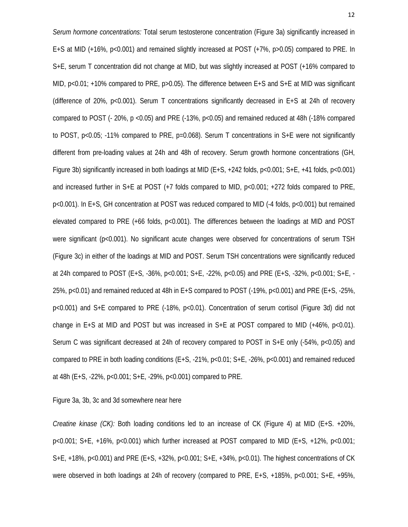*Serum hormone concentrations:* Total serum testosterone concentration (Figure 3a) significantly increased in E+S at MID (+16%, p<0.001) and remained slightly increased at POST (+7%, p>0.05) compared to PRE. In S+E, serum T concentration did not change at MID, but was slightly increased at POST (+16% compared to MID,  $p<0.01$ ; +10% compared to PRE,  $p>0.05$ ). The difference between E+S and S+E at MID was significant (difference of 20%, p<0.001). Serum T concentrations significantly decreased in E+S at 24h of recovery compared to POST (- 20%, p <0.05) and PRE (-13%, p<0.05) and remained reduced at 48h (-18% compared to POST, p<0.05; -11% compared to PRE, p=0.068). Serum T concentrations in S+E were not significantly different from pre-loading values at 24h and 48h of recovery. Serum growth hormone concentrations (GH, Figure 3b) significantly increased in both loadings at MID (E+S, +242 folds, p<0.001; S+E, +41 folds, p<0.001) and increased further in S+E at POST (+7 folds compared to MID, p<0.001; +272 folds compared to PRE, p<0.001). In E+S, GH concentration at POST was reduced compared to MID (-4 folds, p<0.001) but remained elevated compared to PRE (+66 folds, p<0.001). The differences between the loadings at MID and POST were significant (p<0.001). No significant acute changes were observed for concentrations of serum TSH (Figure 3c) in either of the loadings at MID and POST. Serum TSH concentrations were significantly reduced at 24h compared to POST (E+S, -36%, p<0.001; S+E, -22%, p<0.05) and PRE (E+S, -32%, p<0.001; S+E, - 25%, p<0.01) and remained reduced at 48h in E+S compared to POST (-19%, p<0.001) and PRE (E+S, -25%, p<0.001) and S+E compared to PRE (-18%, p<0.01). Concentration of serum cortisol (Figure 3d) did not change in E+S at MID and POST but was increased in  $S+E$  at POST compared to MID (+46%, p<0.01). Serum C was significant decreased at 24h of recovery compared to POST in S+E only (-54%, p<0.05) and compared to PRE in both loading conditions (E+S, -21%, p<0.01; S+E, -26%, p<0.001) and remained reduced at 48h (E+S, -22%, p<0.001; S+E, -29%, p<0.001) compared to PRE.

Figure 3a, 3b, 3c and 3d somewhere near here

*Creatine kinase (CK):* Both loading conditions led to an increase of CK (Figure 4) at MID (E+S. +20%, p<0.001; S+E, +16%, p<0.001) which further increased at POST compared to MID (E+S, +12%, p<0.001; S+E, +18%, p<0.001) and PRE (E+S, +32%, p<0.001; S+E, +34%, p<0.01). The highest concentrations of CK were observed in both loadings at 24h of recovery (compared to PRE, E+S, +185%, p<0.001; S+E, +95%,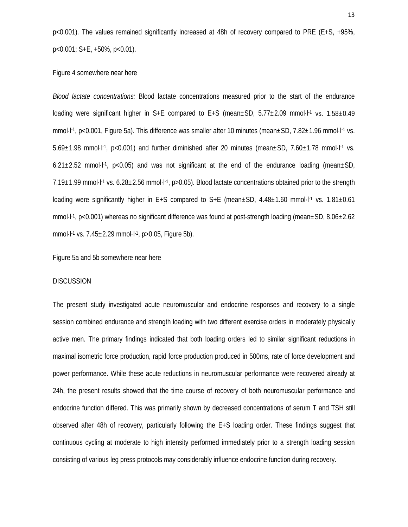p<0.001). The values remained significantly increased at 48h of recovery compared to PRE (E+S, +95%, p<0.001; S+E, +50%, p<0.01).

## Figure 4 somewhere near here

*Blood lactate concentrations:* Blood lactate concentrations measured prior to the start of the endurance loading were significant higher in S+E compared to E+S (mean±SD, 5.77±2.09 mmol·l<sup>-1</sup> vs. 1.58±0.49 mmol·l<sup>-1</sup>, p<0.001, Figure 5a). This difference was smaller after 10 minutes (mean±SD, 7.82±1.96 mmol·l<sup>-1</sup> vs.  $5.69\pm1.98$  mmol·l<sup>-1</sup>, p<0.001) and further diminished after 20 minutes (mean $\pm$ SD, 7.60 $\pm$ 1.78 mmol·l<sup>-1</sup> vs. 6.21 $\pm$ 2.52 mmol·l<sup>-1</sup>, p<0.05) and was not significant at the end of the endurance loading (mean $\pm$ SD, 7.19±1.99 mmol·l-1 vs. 6.28±2.56 mmol·l-1, p>0.05). Blood lactate concentrations obtained prior to the strength loading were significantly higher in E+S compared to  $S+E$  (mean $\pm SD$ , 4.48 $\pm 1.60$  mmol·l<sup>-1</sup> vs. 1.81 $\pm 0.61$ mmol·l-1, p<0.001) whereas no significant difference was found at post-strength loading (mean±SD, 8.06±2.62 mmol $\cdot$ l<sup>-1</sup> vs. 7.45 $\pm$ 2.29 mmol $\cdot$ l<sup>-1</sup>, p>0.05, Figure 5b).

Figure 5a and 5b somewhere near here

#### DISCUSSION

The present study investigated acute neuromuscular and endocrine responses and recovery to a single session combined endurance and strength loading with two different exercise orders in moderately physically active men. The primary findings indicated that both loading orders led to similar significant reductions in maximal isometric force production, rapid force production produced in 500ms, rate of force development and power performance. While these acute reductions in neuromuscular performance were recovered already at 24h, the present results showed that the time course of recovery of both neuromuscular performance and endocrine function differed. This was primarily shown by decreased concentrations of serum T and TSH still observed after 48h of recovery, particularly following the E+S loading order. These findings suggest that continuous cycling at moderate to high intensity performed immediately prior to a strength loading session consisting of various leg press protocols may considerably influence endocrine function during recovery.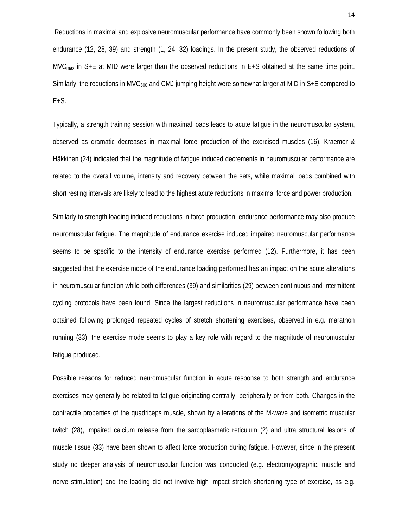Reductions in maximal and explosive neuromuscular performance have commonly been shown following both endurance (12, 28, 39) and strength (1, 24, 32) loadings. In the present study, the observed reductions of MVC<sub>max</sub> in S+E at MID were larger than the observed reductions in E+S obtained at the same time point. Similarly, the reductions in MVC<sub>500</sub> and CMJ jumping height were somewhat larger at MID in S+E compared to E+S.

Typically, a strength training session with maximal loads leads to acute fatigue in the neuromuscular system, observed as dramatic decreases in maximal force production of the exercised muscles (16). Kraemer & Häkkinen (24) indicated that the magnitude of fatigue induced decrements in neuromuscular performance are related to the overall volume, intensity and recovery between the sets, while maximal loads combined with short resting intervals are likely to lead to the highest acute reductions in maximal force and power production.

Similarly to strength loading induced reductions in force production, endurance performance may also produce neuromuscular fatigue. The magnitude of endurance exercise induced impaired neuromuscular performance seems to be specific to the intensity of endurance exercise performed (12). Furthermore, it has been suggested that the exercise mode of the endurance loading performed has an impact on the acute alterations in neuromuscular function while both differences (39) and similarities (29) between continuous and intermittent cycling protocols have been found. Since the largest reductions in neuromuscular performance have been obtained following prolonged repeated cycles of stretch shortening exercises, observed in e.g. marathon running (33), the exercise mode seems to play a key role with regard to the magnitude of neuromuscular fatigue produced.

Possible reasons for reduced neuromuscular function in acute response to both strength and endurance exercises may generally be related to fatigue originating centrally, peripherally or from both. Changes in the contractile properties of the quadriceps muscle, shown by alterations of the M-wave and isometric muscular twitch (28), impaired calcium release from the sarcoplasmatic reticulum (2) and ultra structural lesions of muscle tissue (33) have been shown to affect force production during fatigue. However, since in the present study no deeper analysis of neuromuscular function was conducted (e.g. electromyographic, muscle and nerve stimulation) and the loading did not involve high impact stretch shortening type of exercise, as e.g.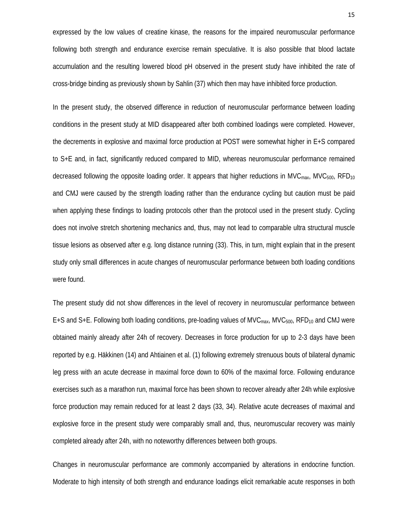expressed by the low values of creatine kinase, the reasons for the impaired neuromuscular performance following both strength and endurance exercise remain speculative. It is also possible that blood lactate accumulation and the resulting lowered blood pH observed in the present study have inhibited the rate of cross-bridge binding as previously shown by Sahlin (37) which then may have inhibited force production.

In the present study, the observed difference in reduction of neuromuscular performance between loading conditions in the present study at MID disappeared after both combined loadings were completed. However, the decrements in explosive and maximal force production at POST were somewhat higher in E+S compared to S+E and, in fact, significantly reduced compared to MID, whereas neuromuscular performance remained decreased following the opposite loading order. It appears that higher reductions in MVC<sub>max</sub>, MVC<sub>500</sub>, RFD<sub>10</sub> and CMJ were caused by the strength loading rather than the endurance cycling but caution must be paid when applying these findings to loading protocols other than the protocol used in the present study. Cycling does not involve stretch shortening mechanics and, thus, may not lead to comparable ultra structural muscle tissue lesions as observed after e.g. long distance running (33). This, in turn, might explain that in the present study only small differences in acute changes of neuromuscular performance between both loading conditions were found.

The present study did not show differences in the level of recovery in neuromuscular performance between  $E+S$  and  $S+E$ . Following both loading conditions, pre-loading values of MVC<sub>max</sub>, MVC<sub>500</sub>, RFD<sub>10</sub> and CMJ were obtained mainly already after 24h of recovery. Decreases in force production for up to 2-3 days have been reported by e.g. Häkkinen (14) and Ahtiainen et al. (1) following extremely strenuous bouts of bilateral dynamic leg press with an acute decrease in maximal force down to 60% of the maximal force. Following endurance exercises such as a marathon run, maximal force has been shown to recover already after 24h while explosive force production may remain reduced for at least 2 days (33, 34). Relative acute decreases of maximal and explosive force in the present study were comparably small and, thus, neuromuscular recovery was mainly completed already after 24h, with no noteworthy differences between both groups.

Changes in neuromuscular performance are commonly accompanied by alterations in endocrine function. Moderate to high intensity of both strength and endurance loadings elicit remarkable acute responses in both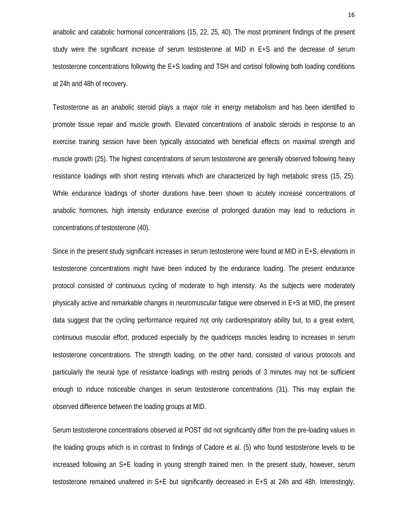anabolic and catabolic hormonal concentrations (15, 22, 25, 40). The most prominent findings of the present study were the significant increase of serum testosterone at MID in E+S and the decrease of serum testosterone concentrations following the E+S loading and TSH and cortisol following both loading conditions at 24h and 48h of recovery.

Testosterone as an anabolic steroid plays a major role in energy metabolism and has been identified to promote tissue repair and muscle growth. Elevated concentrations of anabolic steroids in response to an exercise training session have been typically associated with beneficial effects on maximal strength and muscle growth (25). The highest concentrations of serum testosterone are generally observed following heavy resistance loadings with short resting intervals which are characterized by high metabolic stress (15, 25). While endurance loadings of shorter durations have been shown to acutely increase concentrations of anabolic hormones, high intensity endurance exercise of prolonged duration may lead to reductions in concentrations of testosterone (40).

Since in the present study significant increases in serum testosterone were found at MID in E+S, elevations in testosterone concentrations might have been induced by the endurance loading. The present endurance protocol consisted of continuous cycling of moderate to high intensity. As the subjects were moderately physically active and remarkable changes in neuromuscular fatigue were observed in E+S at MID, the present data suggest that the cycling performance required not only cardiorespiratory ability but, to a great extent, continuous muscular effort, produced especially by the quadriceps muscles leading to increases in serum testosterone concentrations. The strength loading, on the other hand, consisted of various protocols and particularly the neural type of resistance loadings with resting periods of 3 minutes may not be sufficient enough to induce noticeable changes in serum testosterone concentrations (31). This may explain the observed difference between the loading groups at MID.

Serum testosterone concentrations observed at POST did not significantly differ from the pre-loading values in the loading groups which is in contrast to findings of Cadore et al. (5) who found testosterone levels to be increased following an S+E loading in young strength trained men. In the present study, however, serum testosterone remained unaltered in S+E but significantly decreased in E+S at 24h and 48h. Interestingly,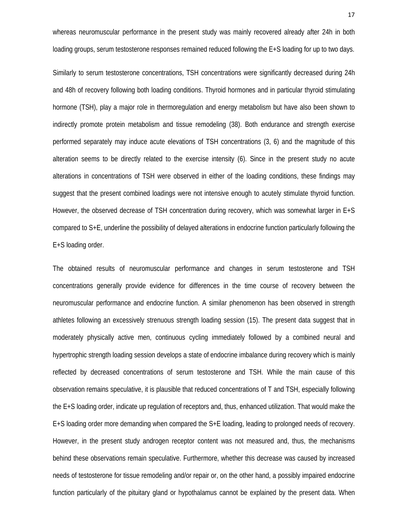whereas neuromuscular performance in the present study was mainly recovered already after 24h in both loading groups, serum testosterone responses remained reduced following the E+S loading for up to two days.

Similarly to serum testosterone concentrations, TSH concentrations were significantly decreased during 24h and 48h of recovery following both loading conditions. Thyroid hormones and in particular thyroid stimulating hormone (TSH), play a major role in thermoregulation and energy metabolism but have also been shown to indirectly promote protein metabolism and tissue remodeling (38). Both endurance and strength exercise performed separately may induce acute elevations of TSH concentrations (3, 6) and the magnitude of this alteration seems to be directly related to the exercise intensity (6). Since in the present study no acute alterations in concentrations of TSH were observed in either of the loading conditions, these findings may suggest that the present combined loadings were not intensive enough to acutely stimulate thyroid function. However, the observed decrease of TSH concentration during recovery, which was somewhat larger in E+S compared to S+E, underline the possibility of delayed alterations in endocrine function particularly following the E+S loading order.

The obtained results of neuromuscular performance and changes in serum testosterone and TSH concentrations generally provide evidence for differences in the time course of recovery between the neuromuscular performance and endocrine function. A similar phenomenon has been observed in strength athletes following an excessively strenuous strength loading session (15). The present data suggest that in moderately physically active men, continuous cycling immediately followed by a combined neural and hypertrophic strength loading session develops a state of endocrine imbalance during recovery which is mainly reflected by decreased concentrations of serum testosterone and TSH. While the main cause of this observation remains speculative, it is plausible that reduced concentrations of T and TSH, especially following the E+S loading order, indicate up regulation of receptors and, thus, enhanced utilization. That would make the E+S loading order more demanding when compared the S+E loading, leading to prolonged needs of recovery. However, in the present study androgen receptor content was not measured and, thus, the mechanisms behind these observations remain speculative. Furthermore, whether this decrease was caused by increased needs of testosterone for tissue remodeling and/or repair or, on the other hand, a possibly impaired endocrine function particularly of the pituitary gland or hypothalamus cannot be explained by the present data. When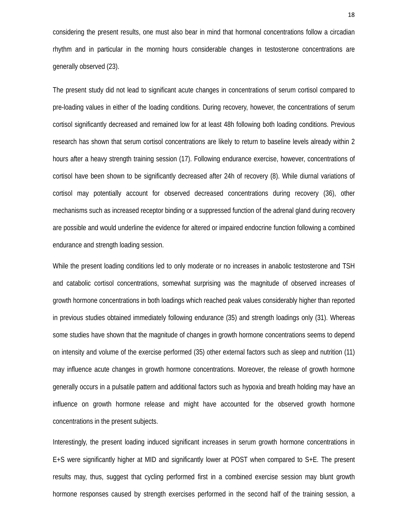considering the present results, one must also bear in mind that hormonal concentrations follow a circadian rhythm and in particular in the morning hours considerable changes in testosterone concentrations are generally observed (23).

The present study did not lead to significant acute changes in concentrations of serum cortisol compared to pre-loading values in either of the loading conditions. During recovery, however, the concentrations of serum cortisol significantly decreased and remained low for at least 48h following both loading conditions. Previous research has shown that serum cortisol concentrations are likely to return to baseline levels already within 2 hours after a heavy strength training session (17). Following endurance exercise, however, concentrations of cortisol have been shown to be significantly decreased after 24h of recovery (8). While diurnal variations of cortisol may potentially account for observed decreased concentrations during recovery (36), other mechanisms such as increased receptor binding or a suppressed function of the adrenal gland during recovery are possible and would underline the evidence for altered or impaired endocrine function following a combined endurance and strength loading session.

While the present loading conditions led to only moderate or no increases in anabolic testosterone and TSH and catabolic cortisol concentrations, somewhat surprising was the magnitude of observed increases of growth hormone concentrations in both loadings which reached peak values considerably higher than reported in previous studies obtained immediately following endurance (35) and strength loadings only (31). Whereas some studies have shown that the magnitude of changes in growth hormone concentrations seems to depend on intensity and volume of the exercise performed (35) other external factors such as sleep and nutrition (11) may influence acute changes in growth hormone concentrations. Moreover, the release of growth hormone generally occurs in a pulsatile pattern and additional factors such as hypoxia and breath holding may have an influence on growth hormone release and might have accounted for the observed growth hormone concentrations in the present subjects.

Interestingly, the present loading induced significant increases in serum growth hormone concentrations in E+S were significantly higher at MID and significantly lower at POST when compared to S+E. The present results may, thus, suggest that cycling performed first in a combined exercise session may blunt growth hormone responses caused by strength exercises performed in the second half of the training session, a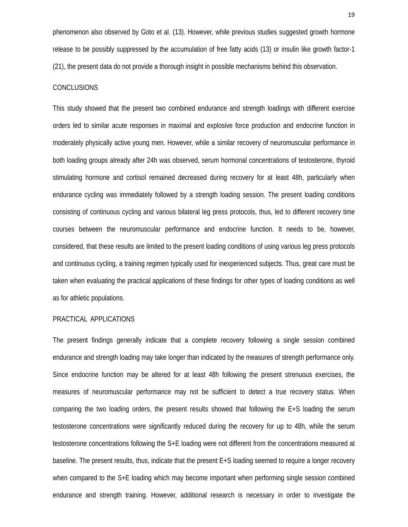phenomenon also observed by Goto et al. (13). However, while previous studies suggested growth hormone release to be possibly suppressed by the accumulation of free fatty acids (13) or insulin like growth factor-1 (21), the present data do not provide a thorough insight in possible mechanisms behind this observation.

# **CONCLUSIONS**

This study showed that the present two combined endurance and strength loadings with different exercise orders led to similar acute responses in maximal and explosive force production and endocrine function in moderately physically active young men. However, while a similar recovery of neuromuscular performance in both loading groups already after 24h was observed, serum hormonal concentrations of testosterone, thyroid stimulating hormone and cortisol remained decreased during recovery for at least 48h, particularly when endurance cycling was immediately followed by a strength loading session. The present loading conditions consisting of continuous cycling and various bilateral leg press protocols, thus, led to different recovery time courses between the neuromuscular performance and endocrine function. It needs to be, however, considered, that these results are limited to the present loading conditions of using various leg press protocols and continuous cycling, a training regimen typically used for inexperienced subjects. Thus, great care must be taken when evaluating the practical applications of these findings for other types of loading conditions as well as for athletic populations.

## PRACTICAL APPLICATIONS

The present findings generally indicate that a complete recovery following a single session combined endurance and strength loading may take longer than indicated by the measures of strength performance only. Since endocrine function may be altered for at least 48h following the present strenuous exercises, the measures of neuromuscular performance may not be sufficient to detect a true recovery status. When comparing the two loading orders, the present results showed that following the E+S loading the serum testosterone concentrations were significantly reduced during the recovery for up to 48h, while the serum testosterone concentrations following the S+E loading were not different from the concentrations measured at baseline. The present results, thus, indicate that the present E+S loading seemed to require a longer recovery when compared to the S+E loading which may become important when performing single session combined endurance and strength training. However, additional research is necessary in order to investigate the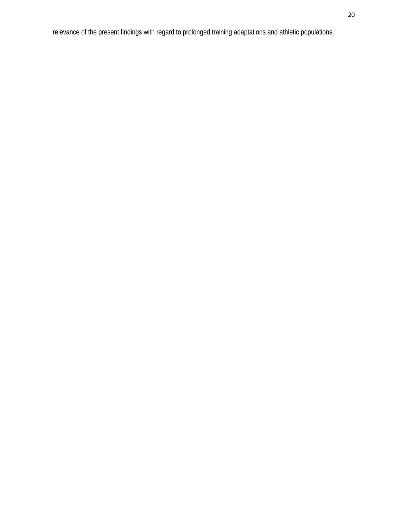relevance of the present findings with regard to prolonged training adaptations and athletic populations.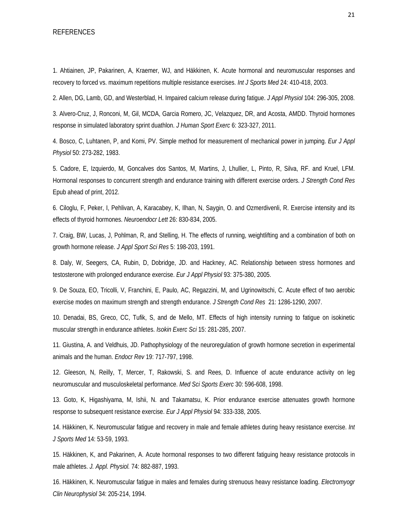#### REFERENCES

1. Ahtiainen, JP, Pakarinen, A, Kraemer, WJ, and Häkkinen, K. Acute hormonal and neuromuscular responses and recovery to forced vs. maximum repetitions multiple resistance exercises. *Int J Sports Med* 24: 410-418, 2003.

2. Allen, DG, Lamb, GD, and Westerblad, H. Impaired calcium release during fatigue. *J Appl Physiol* 104: 296-305, 2008.

3. Alvero-Cruz, J, Ronconi, M, Gil, MCDA, Garcia Romero, JC, Velazquez, DR, and Acosta, AMDD. Thyroid hormones response in simulated laboratory sprint duathlon. *J Human Sport Exerc* 6: 323-327, 2011.

4. Bosco, C, Luhtanen, P, and Komi, PV. Simple method for measurement of mechanical power in jumping. *Eur J Appl Physiol* 50: 273-282, 1983.

5. Cadore, E, Izquierdo, M, Goncalves dos Santos, M, Martins, J, Lhullier, L, Pinto, R, Silva, RF. and Kruel, LFM. Hormonal responses to concurrent strength and endurance training with different exercise orders. *J Strength Cond Res*  Epub ahead of print, 2012.

6. Ciloglu, F, Peker, I, Pehlivan, A, Karacabey, K, Ilhan, N, Saygin, O. and Ozmerdivenli, R. Exercise intensity and its effects of thyroid hormones. *Neuroendocr Lett* 26: 830-834, 2005.

7. Craig, BW, Lucas, J, Pohlman, R, and Stelling, H. The effects of running, weightlifting and a combination of both on growth hormone release. *J Appl Sport Sci Res* 5: 198-203, 1991.

8. Daly, W, Seegers, CA, Rubin, D, Dobridge, JD. and Hackney, AC. Relationship between stress hormones and testosterone with prolonged endurance exercise. *Eur J Appl Physiol* 93: 375-380, 2005.

9. De Souza, EO, Tricolli, V, Franchini, E, Paulo, AC, Regazzini, M, and Ugrinowitschi, C. Acute effect of two aerobic exercise modes on maximum strength and strength endurance. *J Strength Cond Res* 21: 1286-1290, 2007.

10. Denadai, BS, Greco, CC, Tufik, S, and de Mello, MT. Effects of high intensity running to fatigue on isokinetic muscular strength in endurance athletes. *Isokin Exerc Sci* 15: 281-285, 2007.

11. Giustina, A. and Veldhuis, JD. Pathophysiology of the neuroregulation of growth hormone secretion in experimental animals and the human. *Endocr Rev* 19: 717-797, 1998.

12. Gleeson, N, Reilly, T, Mercer, T, Rakowski, S. and Rees, D. Influence of acute endurance activity on leg neuromuscular and musculoskeletal performance. *Med Sci Sports Exerc* 30: 596-608, 1998.

13. Goto, K, Higashiyama, M, Ishii, N. and Takamatsu, K. Prior endurance exercise attenuates growth hormone response to subsequent resistance exercise. *Eur J Appl Physiol* 94: 333-338, 2005.

14. Häkkinen, K. Neuromuscular fatigue and recovery in male and female athletes during heavy resistance exercise. *Int J Sports Med* 14: 53-59, 1993.

15. Häkkinen, K, and Pakarinen, A. Acute hormonal responses to two different fatiguing heavy resistance protocols in male athletes. *J. Appl. Physiol.* 74: 882-887, 1993.

16. Häkkinen, K. Neuromuscular fatigue in males and females during strenuous heavy resistance loading. *Electromyogr Clin Neurophysiol* 34: 205-214, 1994.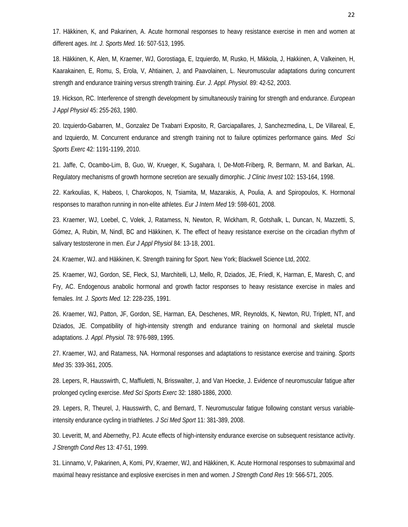17. Häkkinen, K, and Pakarinen, A. Acute hormonal responses to heavy resistance exercise in men and women at different ages. *Int. J. Sports Med.* 16: 507-513, 1995.

18. Häkkinen, K, Alen, M, Kraemer, WJ, Gorostiaga, E, Izquierdo, M, Rusko, H, Mikkola, J, Hakkinen, A, Valkeinen, H, Kaarakainen, E, Romu, S, Erola, V, Ahtiainen, J, and Paavolainen, L. Neuromuscular adaptations during concurrent strength and endurance training versus strength training. *Eur. J. Appl. Physiol.* 89: 42-52, 2003.

19. Hickson, RC. Interference of strength development by simultaneously training for strength and endurance. *European J Appl Physiol* 45: 255-263, 1980.

20. Izquierdo-Gabarren, M., Gonzalez De Txabarri Exposito, R, Garciapallares, J, Sanchezmedina, L, De Villareal, E, and Izquierdo, M. Concurrent endurance and strength training not to failure optimizes performance gains. *Med Sci Sports Exerc* 42: 1191-1199, 2010.

21. Jaffe, C, Ocambo-Lim, B, Guo, W, Krueger, K, Sugahara, I, De-Mott-Friberg, R, Bermann, M. and Barkan, AL. Regulatory mechanisms of growth hormone secretion are sexually dimorphic. *J Clinic Invest* 102: 153-164, 1998.

22. Karkoulias, K, Habeos, I, Charokopos, N, Tsiamita, M, Mazarakis, A, Poulia, A. and Spiropoulos, K. Hormonal responses to marathon running in non-elite athletes. *Eur J Intern Med* 19: 598-601, 2008.

23. Kraemer, WJ, Loebel, C, Volek, J, Ratamess, N, Newton, R, Wickham, R, Gotshalk, L, Duncan, N, Mazzetti, S, Gómez, A, Rubin, M, Nindl, BC and Häkkinen, K. The effect of heavy resistance exercise on the circadian rhythm of salivary testosterone in men. *Eur J Appl Physiol* 84: 13-18, 2001.

24. Kraemer, WJ. and Häkkinen, K. Strength training for Sport. New York; Blackwell Science Ltd, 2002.

25. Kraemer, WJ, Gordon, SE, Fleck, SJ, Marchitelli, LJ, Mello, R, Dziados, JE, Friedl, K, Harman, E, Maresh, C, and Fry, AC. Endogenous anabolic hormonal and growth factor responses to heavy resistance exercise in males and females. *Int. J. Sports Med.* 12: 228-235, 1991.

26. Kraemer, WJ, Patton, JF, Gordon, SE, Harman, EA, Deschenes, MR, Reynolds, K, Newton, RU, Triplett, NT, and Dziados, JE. Compatibility of high-intensity strength and endurance training on hormonal and skeletal muscle adaptations. *J. Appl. Physiol.* 78: 976-989, 1995.

27. Kraemer, WJ, and Ratamess, NA. Hormonal responses and adaptations to resistance exercise and training. *Sports Med* 35: 339-361, 2005.

28. Lepers, R, Hausswirth, C, Maffiuletti, N, Brisswalter, J, and Van Hoecke, J. Evidence of neuromuscular fatigue after prolonged cycling exercise. *Med Sci Sports Exerc* 32: 1880-1886, 2000.

29. Lepers, R, Theurel, J, Hausswirth, C, and Bernard, T. Neuromuscular fatigue following constant versus variableintensity endurance cycling in triathletes. *J Sci Med Sport* 11: 381-389, 2008.

30. Leveritt, M, and Abernethy, PJ. Acute effects of high-intensity endurance exercise on subsequent resistance activity. *J Strength Cond Res* 13: 47-51, 1999.

31. Linnamo, V, Pakarinen, A, Komi, PV, Kraemer, WJ, and Häkkinen, K. Acute Hormonal responses to submaximal and maximal heavy resistance and explosive exercises in men and women. *J Strength Cond Res* 19: 566-571, 2005.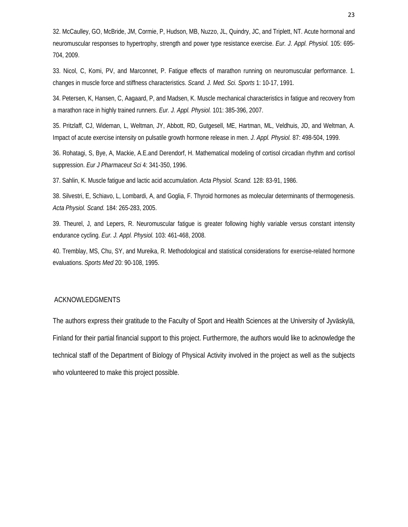32. McCaulley, GO, McBride, JM, Cormie, P, Hudson, MB, Nuzzo, JL, Quindry, JC, and Triplett, NT. Acute hormonal and neuromuscular responses to hypertrophy, strength and power type resistance exercise. *Eur. J. Appl. Physiol.* 105: 695- 704, 2009.

33. Nicol, C, Komi, PV, and Marconnet, P. Fatigue effects of marathon running on neuromuscular performance. 1. changes in muscle force and stiffness characteristics. *Scand. J. Med. Sci. Sports* 1: 10-17, 1991.

34. Petersen, K, Hansen, C, Aagaard, P, and Madsen, K. Muscle mechanical characteristics in fatigue and recovery from a marathon race in highly trained runners. *Eur. J. Appl. Physiol.* 101: 385-396, 2007.

35. Pritzlaff, CJ, Wideman, L, Weltman, JY, Abbott, RD, Gutgesell, ME, Hartman, ML, Veldhuis, JD, and Weltman, A. Impact of acute exercise intensity on pulsatile growth hormone release in men. *J. Appl. Physiol.* 87: 498-504, 1999.

36. Rohatagi, S, Bye, A, Mackie, A.E.and Derendorf, H. Mathematical modeling of cortisol circadian rhythm and cortisol suppression. *Eur J Pharmaceut Sci* 4: 341-350, 1996.

37. Sahlin, K. Muscle fatigue and lactic acid accumulation. *Acta Physiol. Scand.* 128: 83-91, 1986.

38. Silvestri, E, Schiavo, L, Lombardi, A, and Goglia, F. Thyroid hormones as molecular determinants of thermogenesis. *Acta Physiol. Scand.* 184: 265-283, 2005.

39. Theurel, J, and Lepers, R. Neuromuscular fatigue is greater following highly variable versus constant intensity endurance cycling. *Eur. J. Appl. Physiol.* 103: 461-468, 2008.

40. Tremblay, MS, Chu, SY, and Mureika, R. Methodological and statistical considerations for exercise-related hormone evaluations. *Sports Med* 20: 90-108, 1995.

# ACKNOWLEDGMENTS

The authors express their gratitude to the Faculty of Sport and Health Sciences at the University of Jyväskylä, Finland for their partial financial support to this project. Furthermore, the authors would like to acknowledge the technical staff of the Department of Biology of Physical Activity involved in the project as well as the subjects who volunteered to make this project possible.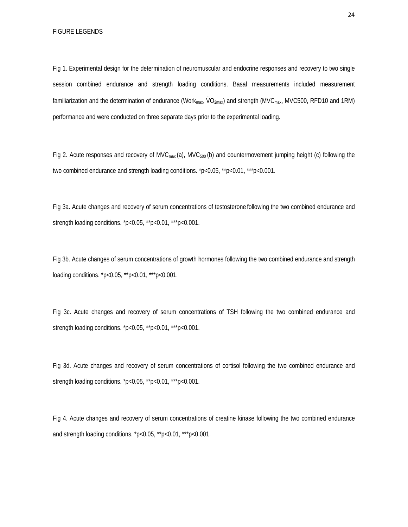Fig 1. Experimental design for the determination of neuromuscular and endocrine responses and recovery to two single session combined endurance and strength loading conditions. Basal measurements included measurement familiarization and the determination of endurance (Work<sub>max</sub>, VO<sub>2max</sub>) and strength (MVC<sub>max</sub>, MVC500, RFD10 and 1RM) performance and were conducted on three separate days prior to the experimental loading.

Fig 2. Acute responses and recovery of MVC<sub>max</sub> (a), MVC<sub>500</sub> (b) and countermovement jumping height (c) following the two combined endurance and strength loading conditions. \*p<0.05, \*\*p<0.01, \*\*\*p<0.001.

Fig 3a. Acute changes and recovery of serum concentrations of testosterone following the two combined endurance and strength loading conditions. \*p<0.05, \*\*p<0.01, \*\*\*p<0.001.

Fig 3b. Acute changes of serum concentrations of growth hormones following the two combined endurance and strength loading conditions. \*p<0.05, \*\*p<0.01, \*\*\*p<0.001.

Fig 3c. Acute changes and recovery of serum concentrations of TSH following the two combined endurance and strength loading conditions. \*p<0.05, \*\*p<0.01, \*\*\*p<0.001.

Fig 3d. Acute changes and recovery of serum concentrations of cortisol following the two combined endurance and strength loading conditions. \*p<0.05, \*\*p<0.01, \*\*\*p<0.001.

Fig 4. Acute changes and recovery of serum concentrations of creatine kinase following the two combined endurance and strength loading conditions. \*p<0.05, \*\*p<0.01, \*\*\*p<0.001.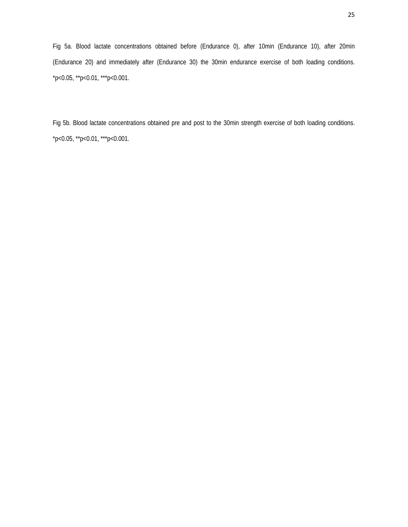Fig 5a. Blood lactate concentrations obtained before (Endurance 0), after 10min (Endurance 10), after 20min (Endurance 20) and immediately after (Endurance 30) the 30min endurance exercise of both loading conditions. \*p<0.05, \*\*p<0.01, \*\*\*p<0.001.

Fig 5b. Blood lactate concentrations obtained pre and post to the 30min strength exercise of both loading conditions. \*p<0.05, \*\*p<0.01, \*\*\*p<0.001.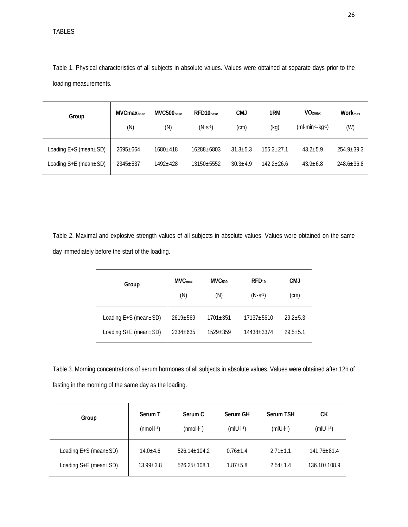TABLES

Table 1. Physical characteristics of all subjects in absolute values. Values were obtained at separate days prior to the loading measurements.

| Group                          | <b>MVCmax</b> base<br>(N) | MVC500base<br>(N) | RFD10 <sub>base</sub><br>$(N\cdot S^{-1})$ | <b>CMJ</b><br>(cm) | 1RM<br>(kg)    | $\dot{V}O2max$<br>$(ml·min-1·kq-1)$ | <b>Workmax</b><br>(W) |
|--------------------------------|---------------------------|-------------------|--------------------------------------------|--------------------|----------------|-------------------------------------|-----------------------|
| Loading $E+S$ (mean $\pm SD$ ) | $2695 \pm 664$            | 1680±418          | 16288+6803                                 | $31.3 \pm 5.3$     | $155.3 + 27.1$ | $43.2 + 5.9$                        | $254.9 + 39.3$        |
| Loading $S+E$ (mean $\pm SD$ ) | 2345±537                  | $1492 + 428$      | 13150±5552                                 | $30.3 + 4.9$       | $142.2 + 26.6$ | $43.9 + 6.8$                        | $248.6 \pm 36.8$      |

Table 2. Maximal and explosive strength values of all subjects in absolute values. Values were obtained on the same day immediately before the start of the loading.

| Group                          | MVC <sub>max</sub><br>(N) | MVC <sub>500</sub><br>(N) | RFD <sub>10</sub><br>$(N \cdot S^{-1})$ | <b>CMJ</b><br>(cm) |
|--------------------------------|---------------------------|---------------------------|-----------------------------------------|--------------------|
| Loading $E+S$ (mean $\pm SD$ ) | $2619 + 569$              | $1701 + 351$              | 17137+5610                              | $29.2 + 5.3$       |
| Loading $S+E$ (mean $\pm SD$ ) | $2334+635$                | $1529 + 359$              | 14438+3374                              | $29.5 + 5.1$       |

Table 3. Morning concentrations of serum hormones of all subjects in absolute values. Values were obtained after 12h of fasting in the morning of the same day as the loading.

| Group                          | Serum T         | Serum C            | Serum GH             | <b>Serum TSH</b>     | CК                 |
|--------------------------------|-----------------|--------------------|----------------------|----------------------|--------------------|
|                                | $(mmol·l-1)$    | (mol·l·1)          | $(m U \cdot  ^{-1})$ | $(m U \cdot  ^{-1})$ | $(m U\cdot ^{-1})$ |
| Loading $E+S$ (mean $\pm SD$ ) | $14.0 + 4.6$    | $526.14 \pm 104.2$ | $0.76 + 1.4$         | $2.71 + 1.1$         | $141.76 \pm 81.4$  |
| Loading $S+E$ (mean $\pm SD$ ) | $13.99 \pm 3.8$ | $526.25 \pm 108.1$ | $1.87 + 5.8$         | $2.54 + 1.4$         | $136.10 \pm 108.9$ |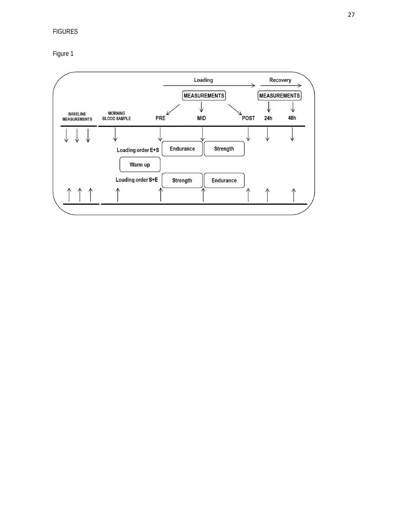# FIGURES

Figure 1

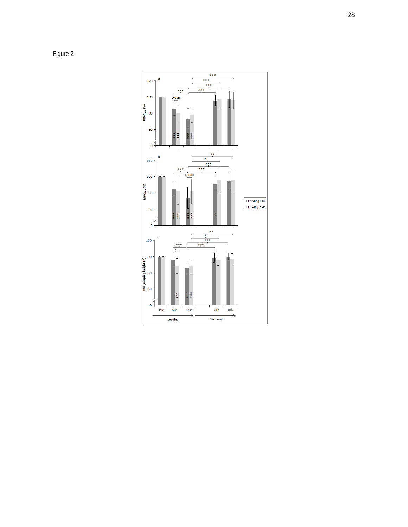Figure 2

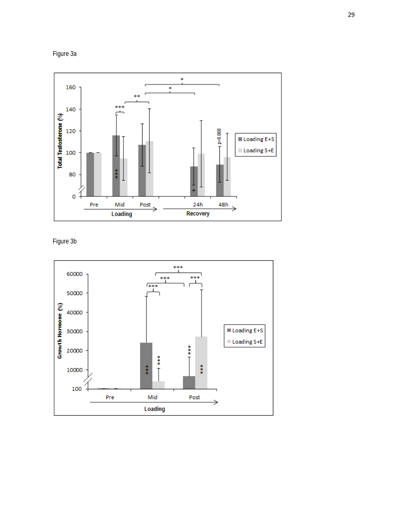



Figure 3b

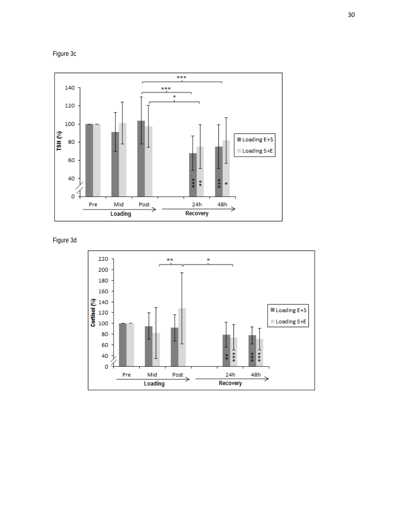





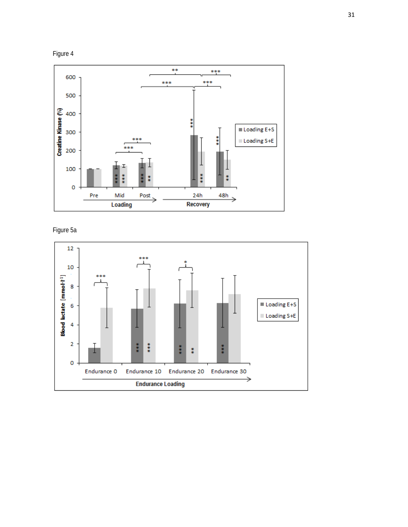